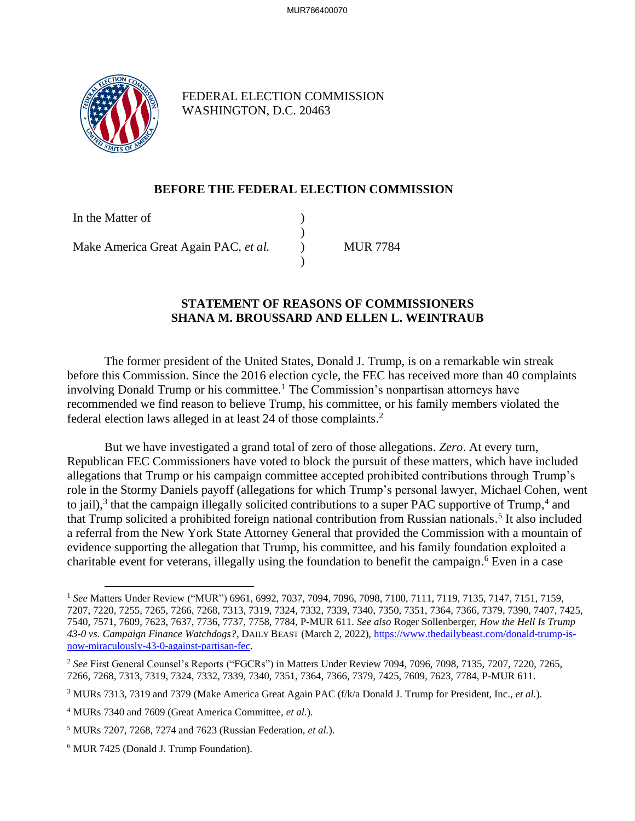

FEDERAL ELECTION COMMISSION WASHINGTON, D.C. 20463

## **BEFORE THE FEDERAL ELECTION COMMISSION**

) )  $\lambda$ )

In the Matter of

Make America Great Again PAC, *et al.*

MUR 7784

# **STATEMENT OF REASONS OF COMMISSIONERS SHANA M. BROUSSARD AND ELLEN L. WEINTRAUB**

The former president of the United States, Donald J. Trump, is on a remarkable win streak before this Commission. Since the 2016 election cycle, the FEC has received more than 40 complaints involving Donald Trump or his committee.<sup>1</sup> The Commission's nonpartisan attorneys have recommended we find reason to believe Trump, his committee, or his family members violated the federal election laws alleged in at least 24 of those complaints. 2

But we have investigated a grand total of zero of those allegations. *Zero*. At every turn, Republican FEC Commissioners have voted to block the pursuit of these matters, which have included allegations that Trump or his campaign committee accepted prohibited contributions through Trump's role in the Stormy Daniels payoff (allegations for which Trump's personal lawyer, Michael Cohen, went to jail),<sup>3</sup> that the campaign illegally solicited contributions to a super PAC supportive of Trump,<sup>4</sup> and that Trump solicited a prohibited foreign national contribution from Russian nationals.<sup>5</sup> It also included a referral from the New York State Attorney General that provided the Commission with a mountain of evidence supporting the allegation that Trump, his committee, and his family foundation exploited a charitable event for veterans, illegally using the foundation to benefit the campaign. <sup>6</sup> Even in a case

<sup>1</sup> *See* Matters Under Review ("MUR") 6961, 6992, 7037, 7094, 7096, 7098, 7100, 7111, 7119, 7135, 7147, 7151, 7159, 7207, 7220, 7255, 7265, 7266, 7268, 7313, 7319, 7324, 7332, 7339, 7340, 7350, 7351, 7364, 7366, 7379, 7390, 7407, 7425, 7540, 7571, 7609, 7623, 7637, 7736, 7737, 7758, 7784, P-MUR 611. *See also* Roger Sollenberger, *How the Hell Is Trump 43-0 vs. Campaign Finance Watchdogs?,* DAILY BEAST (March 2, 2022)[, https://www.thedailybeast.com/donald-trump-is](https://www.thedailybeast.com/donald-trump-is-now-miraculously-43-0-against-partisan-fec)[now-miraculously-43-0-against-partisan-fec.](https://www.thedailybeast.com/donald-trump-is-now-miraculously-43-0-against-partisan-fec) 

<sup>2</sup> *See* First General Counsel's Reports ("FGCRs") in Matters Under Review 7094, 7096, 7098, 7135, 7207, 7220, 7265, 7266, 7268, 7313, 7319, 7324, 7332, 7339, 7340, 7351, 7364, 7366, 7379, 7425, 7609, 7623, 7784, P-MUR 611.

<sup>3</sup> MURs 7313, 7319 and 7379 (Make America Great Again PAC (f/k/a Donald J. Trump for President, Inc., *et al.*).

<sup>4</sup> MURs 7340 and 7609 (Great America Committee, *et al.*).

<sup>5</sup> MURs 7207, 7268, 7274 and 7623 (Russian Federation, *et al.*).

<sup>6</sup> MUR 7425 (Donald J. Trump Foundation).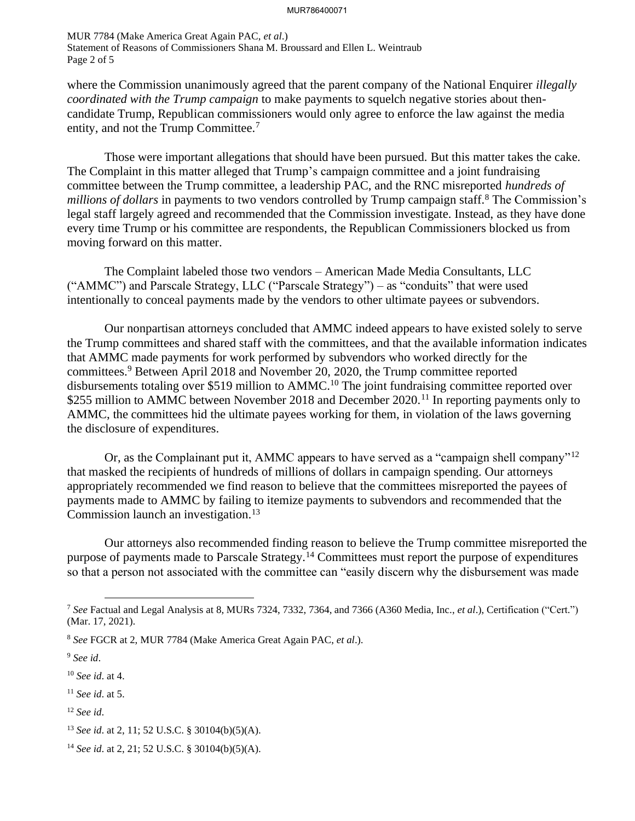MUR 7784 (Make America Great Again PAC, *et al*.) Statement of Reasons of Commissioners Shana M. Broussard and Ellen L. Weintraub Page 2 of 5

where the Commission unanimously agreed that the parent company of the National Enquirer *illegally coordinated with the Trump campaign* to make payments to squelch negative stories about thencandidate Trump, Republican commissioners would only agree to enforce the law against the media entity, and not the Trump Committee.<sup>7</sup>

Those were important allegations that should have been pursued. But this matter takes the cake. The Complaint in this matter alleged that Trump's campaign committee and a joint fundraising committee between the Trump committee, a leadership PAC, and the RNC misreported *hundreds of millions of dollars* in payments to two vendors controlled by Trump campaign staff.<sup>8</sup> The Commission's legal staff largely agreed and recommended that the Commission investigate. Instead, as they have done every time Trump or his committee are respondents, the Republican Commissioners blocked us from moving forward on this matter.

The Complaint labeled those two vendors – American Made Media Consultants, LLC ("AMMC") and Parscale Strategy, LLC ("Parscale Strategy") – as "conduits" that were used intentionally to conceal payments made by the vendors to other ultimate payees or subvendors.

Our nonpartisan attorneys concluded that AMMC indeed appears to have existed solely to serve the Trump committees and shared staff with the committees, and that the available information indicates that AMMC made payments for work performed by subvendors who worked directly for the committees.<sup>9</sup> Between April 2018 and November 20, 2020, the Trump committee reported disbursements totaling over \$519 million to AMMC.<sup>10</sup> The joint fundraising committee reported over \$255 million to AMMC between November 2018 and December 2020.<sup>11</sup> In reporting payments only to AMMC, the committees hid the ultimate payees working for them, in violation of the laws governing the disclosure of expenditures.

Or, as the Complainant put it, AMMC appears to have served as a "campaign shell company"<sup>12</sup> that masked the recipients of hundreds of millions of dollars in campaign spending. Our attorneys appropriately recommended we find reason to believe that the committees misreported the payees of payments made to AMMC by failing to itemize payments to subvendors and recommended that the Commission launch an investigation.<sup>13</sup>

Our attorneys also recommended finding reason to believe the Trump committee misreported the purpose of payments made to Parscale Strategy.<sup>14</sup> Committees must report the purpose of expenditures so that a person not associated with the committee can "easily discern why the disbursement was made

<sup>12</sup> *See id*.

<sup>7</sup> *See* Factual and Legal Analysis at 8, MURs 7324, 7332, 7364, and 7366 (A360 Media, Inc., *et al*.), Certification ("Cert.") (Mar. 17, 2021).

<sup>8</sup> *See* FGCR at 2, MUR 7784 (Make America Great Again PAC, *et al*.).

<sup>9</sup> *See id*.

<sup>10</sup> *See id*. at 4.

<sup>11</sup> *See id*. at 5.

<sup>13</sup> *See id*. at 2, 11; 52 U.S.C. § 30104(b)(5)(A).

<sup>14</sup> *See id*. at 2, 21; 52 U.S.C. § 30104(b)(5)(A).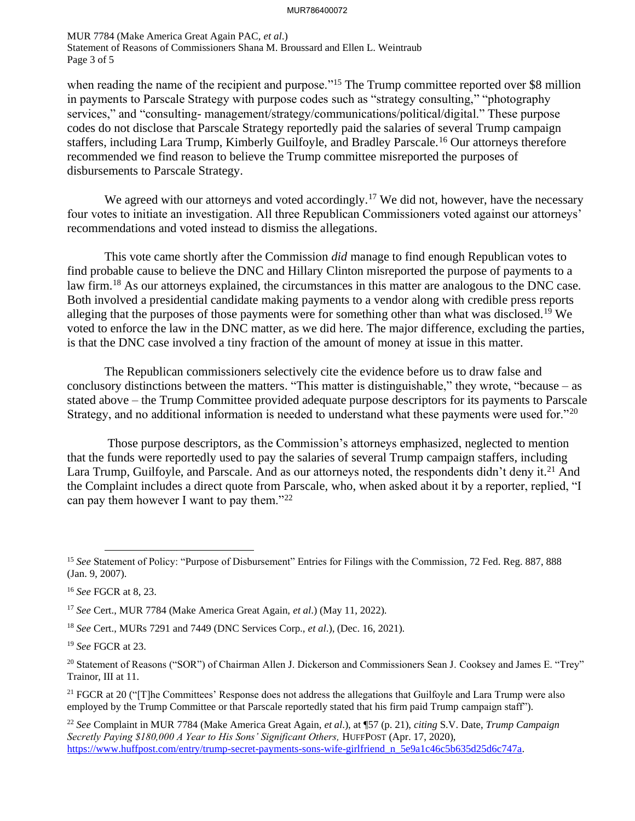MUR 7784 (Make America Great Again PAC, *et al*.) Statement of Reasons of Commissioners Shana M. Broussard and Ellen L. Weintraub Page 3 of 5

when reading the name of the recipient and purpose."<sup>15</sup> The Trump committee reported over \$8 million in payments to Parscale Strategy with purpose codes such as "strategy consulting," "photography services," and "consulting- management/strategy/communications/political/digital." These purpose codes do not disclose that Parscale Strategy reportedly paid the salaries of several Trump campaign staffers, including Lara Trump, Kimberly Guilfoyle, and Bradley Parscale.<sup>16</sup> Our attorneys therefore recommended we find reason to believe the Trump committee misreported the purposes of disbursements to Parscale Strategy.

We agreed with our attorneys and voted accordingly.<sup>17</sup> We did not, however, have the necessary four votes to initiate an investigation. All three Republican Commissioners voted against our attorneys' recommendations and voted instead to dismiss the allegations.

This vote came shortly after the Commission *did* manage to find enough Republican votes to find probable cause to believe the DNC and Hillary Clinton misreported the purpose of payments to a law firm.<sup>18</sup> As our attorneys explained, the circumstances in this matter are analogous to the DNC case. Both involved a presidential candidate making payments to a vendor along with credible press reports alleging that the purposes of those payments were for something other than what was disclosed.<sup>19</sup> We voted to enforce the law in the DNC matter, as we did here. The major difference, excluding the parties, is that the DNC case involved a tiny fraction of the amount of money at issue in this matter.

The Republican commissioners selectively cite the evidence before us to draw false and conclusory distinctions between the matters. "This matter is distinguishable," they wrote, "because – as stated above – the Trump Committee provided adequate purpose descriptors for its payments to Parscale Strategy, and no additional information is needed to understand what these payments were used for."<sup>20</sup>

Those purpose descriptors, as the Commission's attorneys emphasized, neglected to mention that the funds were reportedly used to pay the salaries of several Trump campaign staffers, including Lara Trump, Guilfoyle, and Parscale. And as our attorneys noted, the respondents didn't deny it.<sup>21</sup> And the Complaint includes a direct quote from Parscale, who, when asked about it by a reporter, replied, "I can pay them however I want to pay them." $^{22}$ 

<sup>18</sup> *See* Cert., MURs 7291 and 7449 (DNC Services Corp., *et al*.), (Dec. 16, 2021).

<sup>19</sup> *See* FGCR at 23.

<sup>15</sup> *See* Statement of Policy: "Purpose of Disbursement" Entries for Filings with the Commission, 72 Fed. Reg. 887, 888 (Jan. 9, 2007).

<sup>16</sup> *See* FGCR at 8, 23.

<sup>17</sup> *See* Cert., MUR 7784 (Make America Great Again, *et al*.) (May 11, 2022).

<sup>&</sup>lt;sup>20</sup> Statement of Reasons ("SOR") of Chairman Allen J. Dickerson and Commissioners Sean J. Cooksey and James E. "Trey" Trainor, III at 11.

<sup>&</sup>lt;sup>21</sup> FGCR at 20 ("[T]he Committees' Response does not address the allegations that Guilfoyle and Lara Trump were also employed by the Trump Committee or that Parscale reportedly stated that his firm paid Trump campaign staff").

<sup>22</sup> *See* Complaint in MUR 7784 (Make America Great Again, *et al*.), at ¶57 (p. 21), *citing* S.V. Date, *Trump Campaign Secretly Paying \$180,000 A Year to His Sons' Significant Others,* HUFFPOST (Apr. 17, 2020), [https://www.huffpost.com/entry/trump-secret-payments-sons-wife-girlfriend\\_n\\_5e9a1c46c5b635d25d6c747a.](https://www.huffpost.com/entry/trump-secret-payments-sons-wife-girlfriend_n_5e9a1c46c5b635d25d6c747a)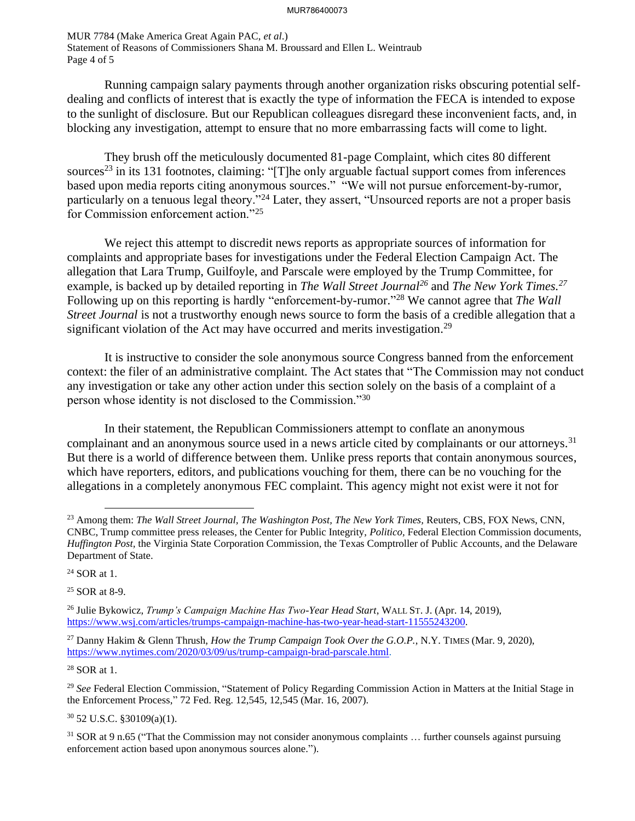MUR 7784 (Make America Great Again PAC, *et al*.) Statement of Reasons of Commissioners Shana M. Broussard and Ellen L. Weintraub Page 4 of 5

Running campaign salary payments through another organization risks obscuring potential selfdealing and conflicts of interest that is exactly the type of information the FECA is intended to expose to the sunlight of disclosure. But our Republican colleagues disregard these inconvenient facts, and, in blocking any investigation, attempt to ensure that no more embarrassing facts will come to light.

They brush off the meticulously documented 81-page Complaint, which cites 80 different sources<sup>23</sup> in its 131 footnotes, claiming: "[T]he only arguable factual support comes from inferences based upon media reports citing anonymous sources." "We will not pursue enforcement-by-rumor, particularly on a tenuous legal theory."<sup>24</sup> Later, they assert, "Unsourced reports are not a proper basis for Commission enforcement action."<sup>25</sup>

We reject this attempt to discredit news reports as appropriate sources of information for complaints and appropriate bases for investigations under the Federal Election Campaign Act. The allegation that Lara Trump, Guilfoyle, and Parscale were employed by the Trump Committee, for example, is backed up by detailed reporting in *The Wall Street Journal<sup>26</sup>* and *The New York Times.<sup>27</sup>* Following up on this reporting is hardly "enforcement-by-rumor."<sup>28</sup> We cannot agree that *The Wall Street Journal* is not a trustworthy enough news source to form the basis of a credible allegation that a significant violation of the Act may have occurred and merits investigation.<sup>29</sup>

It is instructive to consider the sole anonymous source Congress banned from the enforcement context: the filer of an administrative complaint. The Act states that "The Commission may not conduct any investigation or take any other action under this section solely on the basis of a complaint of a person whose identity is not disclosed to the Commission."<sup>30</sup>

In their statement, the Republican Commissioners attempt to conflate an anonymous complainant and an anonymous source used in a news article cited by complainants or our attorneys.<sup>31</sup> But there is a world of difference between them. Unlike press reports that contain anonymous sources, which have reporters, editors, and publications vouching for them, there can be no vouching for the allegations in a completely anonymous FEC complaint. This agency might not exist were it not for

<sup>28</sup> SOR at 1.

<sup>30</sup> 52 U.S.C. §30109(a)(1).

<sup>23</sup> Among them: *The Wall Street Journal, The Washington Post, The New York Times,* Reuters, CBS, FOX News, CNN, CNBC, Trump committee press releases, the Center for Public Integrity, *Politico,* Federal Election Commission documents, *Huffington Post,* the Virginia State Corporation Commission, the Texas Comptroller of Public Accounts, and the Delaware Department of State.

<sup>24</sup> SOR at 1.

<sup>25</sup> SOR at 8-9.

<sup>26</sup> Julie Bykowicz, *Trump's Campaign Machine Has Two-Year Head Start*, WALL ST. J. (Apr. 14, 2019), [https://www.wsj.com/articles/trumps-campaign-machine-has-two-year-head-start-11555243200.](https://www.wsj.com/articles/trumps-campaign-machine-has-two-year-head-start-11555243200)

<sup>27</sup> Danny Hakim & Glenn Thrush, *How the Trump Campaign Took Over the G.O.P.*, N.Y. TIMES (Mar. 9, 2020), [https://www.nytimes.com/2020/03/09/us/trump-campaign-brad-parscale.html.](https://www.nytimes.com/2020/03/09/us/trump-campaign-brad-parscale.html)

<sup>29</sup> *See* Federal Election Commission, "Statement of Policy Regarding Commission Action in Matters at the Initial Stage in the Enforcement Process," 72 Fed. Reg. 12,545, 12,545 (Mar. 16, 2007).

 $31$  SOR at 9 n.65 ("That the Commission may not consider anonymous complaints ... further counsels against pursuing enforcement action based upon anonymous sources alone.").